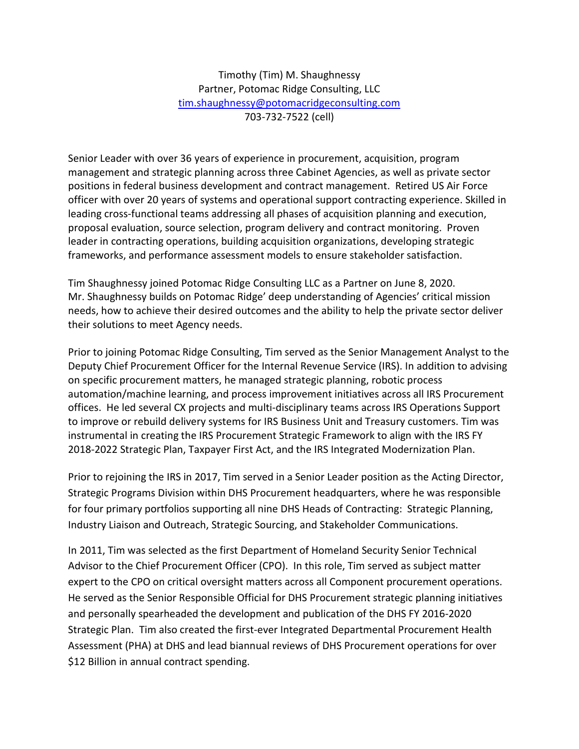Timothy (Tim) M. Shaughnessy Partner, Potomac Ridge Consulting, LLC [tim.shaughnessy@potomacridgeconsulting.com](mailto:tim.shaughnessy@potomacridgeconsulting.com) 703-732-7522 (cell)

Senior Leader with over 36 years of experience in procurement, acquisition, program management and strategic planning across three Cabinet Agencies, as well as private sector positions in federal business development and contract management. Retired US Air Force officer with over 20 years of systems and operational support contracting experience. Skilled in leading cross-functional teams addressing all phases of acquisition planning and execution, proposal evaluation, source selection, program delivery and contract monitoring. Proven leader in contracting operations, building acquisition organizations, developing strategic frameworks, and performance assessment models to ensure stakeholder satisfaction.

Tim Shaughnessy joined Potomac Ridge Consulting LLC as a Partner on June 8, 2020. Mr. Shaughnessy builds on Potomac Ridge' deep understanding of Agencies' critical mission needs, how to achieve their desired outcomes and the ability to help the private sector deliver their solutions to meet Agency needs.

Prior to joining Potomac Ridge Consulting, Tim served as the Senior Management Analyst to the Deputy Chief Procurement Officer for the Internal Revenue Service (IRS). In addition to advising on specific procurement matters, he managed strategic planning, robotic process automation/machine learning, and process improvement initiatives across all IRS Procurement offices. He led several CX projects and multi-disciplinary teams across IRS Operations Support to improve or rebuild delivery systems for IRS Business Unit and Treasury customers. Tim was instrumental in creating the IRS Procurement Strategic Framework to align with the IRS FY 2018-2022 Strategic Plan, Taxpayer First Act, and the IRS Integrated Modernization Plan.

Prior to rejoining the IRS in 2017, Tim served in a Senior Leader position as the Acting Director, Strategic Programs Division within DHS Procurement headquarters, where he was responsible for four primary portfolios supporting all nine DHS Heads of Contracting: Strategic Planning, Industry Liaison and Outreach, Strategic Sourcing, and Stakeholder Communications.

In 2011, Tim was selected as the first Department of Homeland Security Senior Technical Advisor to the Chief Procurement Officer (CPO). In this role, Tim served as subject matter expert to the CPO on critical oversight matters across all Component procurement operations. He served as the Senior Responsible Official for DHS Procurement strategic planning initiatives and personally spearheaded the development and publication of the DHS FY 2016-2020 Strategic Plan. Tim also created the first-ever Integrated Departmental Procurement Health Assessment (PHA) at DHS and lead biannual reviews of DHS Procurement operations for over \$12 Billion in annual contract spending.